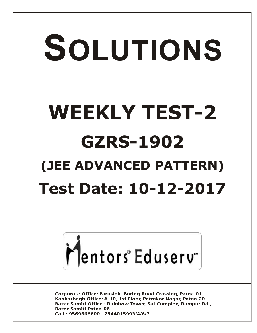# SOLUTIONS **WEEKLY TEST-2 GZRS-1902 (JEE ADVANCED PATTERN) Test Date: 10-12-2017**



**Corporate Office: Paruslok, Boring Road Crossing, Patna-01** Kankarbagh Office: A-10, 1st Floor, Patrakar Nagar, Patna-20 Bazar Samiti Office: Rainbow Tower, Sai Complex, Rampur Rd., **Bazar Samiti Patna-06** Call: 9569668800 | 7544015993/4/6/7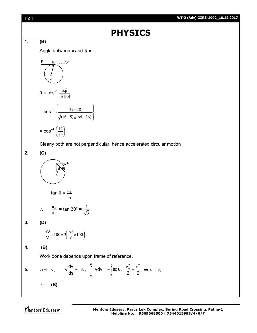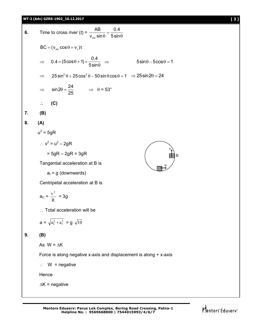### **WT-2 (Adv) GZRS-1902\_10.12.2017 [ 3 ]**

6. Time to cross river 
$$
(t) = \frac{AB}{v_{\text{mv}} \sin \theta} = \frac{0.4}{5 \sin \theta}
$$
  
\n $BC = (v_{\text{mv}} \cos \theta + v_r)t$   
\n $\Rightarrow 0.4 = (5 \cos \theta + 1) \times \frac{0.4}{5 \sin \theta} \Rightarrow 5 \sin \theta - 5 \cos \theta = 1$   
\n $\Rightarrow 25 \sin^2 \theta + 25 \cos^2 \theta - 50 \sin \theta \cos \theta = 1 \Rightarrow 25 \sin 2\theta = 24$   
\n $\Rightarrow \sin 2\theta = \frac{24}{25} \Rightarrow \theta = 53^\circ$   
\n $\therefore$  (C)  
\n7. (B)  
\n8. (A)  
\n $u^2 = 5gR$   
\n $= 5gR - 2gR = 3gR$   
\nTangential acceleration at B is  
\n $a_t = g$  (downwards)  
\nCentripetal acceleration at B is  
\n $a_c = \frac{v^2}{R} = 3g$   
\n $\therefore$  Total acceleration will be  
\n $a = \sqrt{a_c^2 + a_t^2} = g \sqrt{10}$   
\n9. (B)  
\nAs  $W = \Delta K$   
\nForce is along negative x-axis and displacement is along + x-axis.  
\n $\therefore W =$  negative  
\nHence

 $\Delta K$  = negative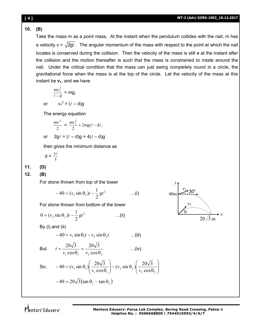# **10. (B)**

Take the mass m as a point mass. At the instant when the pendulum collides with the nail, m has a velocity v =  $\sqrt{2g\ell}$ . The angular momentum of the mass with respect to the point at which the nail locates is conserved during the collision. Then the velocity of the mass is still **v** at the instant after the collision and the motion thereafter is such that the mass is constrained to rotate around the nail. Under the critical condition that the mass can just swing completely round in a circle, the gravitational force when the mass is at the top of the circle. Let the velocity of the mass at this instant be  $v_1$ , and we have

$$
\frac{mv_1^2}{\ell - d} = mg,
$$

or  $v_1^2 = (\ell - d)g$ 

The energy equation

$$
\frac{mv^2}{2} = \frac{mv_1^2}{2} + 2mg(\ell - d),
$$

or 
$$
2g\ell = (\ell - d)g + 4(\ell - d)g
$$

then gives the minimum distance as

$$
d = \frac{3\ell}{5}
$$

**11. (D)**

**12. (B)**

For stone thrown from top of the tower

$$
-40 = (v_1 \sin \theta_1)t - \frac{1}{2}gt^2 \qquad \qquad ...(i)
$$

For stone thrown from bottom of the tower

$$
0 = (v_2 \sin \theta_2)t - \frac{1}{2}gt^2 \qquad \qquad \dots (ii)
$$

 $v_1 \cos \theta_1$   $v_2 \cos \theta_2$ 

 $=$  $\theta$ 

cos  $20\sqrt{3}$ 

 $v_1 \cos \theta_1$  *v* 

By (i) and (ii)

$$
-40 = v_1 \sin \theta_1 t - v_2 \sin \theta_2 t \qquad \qquad \dots \text{(iii)}
$$

 $\theta$ 

 $20\sqrt{3}$ 

But 
$$
t = \frac{20\sqrt{3}}{v \cdot \cos \theta} = \frac{20\sqrt{3}}{v \cdot \cos \theta}
$$
...(iv)

So, 
$$
-40 = (v_1 \sin \theta_1) \left( \frac{20\sqrt{3}}{v_1 \cos \theta_1} \right) - (v_2 \sin \theta_2) \left( \frac{20\sqrt{3}}{v_2 \cos \theta_2} \right)
$$

$$
-40 = 20\sqrt{3} (\tan \theta_1 - \tan \theta_2)
$$

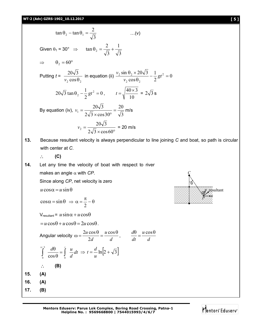**17. (B)**





*u* resultant *u*

*P* ā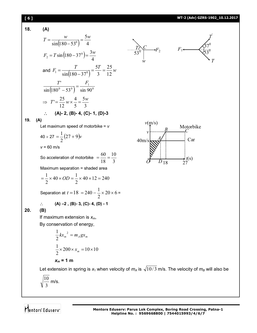

Let extension in spring is  $x_1$  when velocity of  $m_A$  is  $\sqrt{10/3}$  m/s. The velocity of  $m_B$  will also be

$$
\sqrt{\frac{10}{3}} \text{ m/s}.
$$

Mentors Eduserv<sup>®</sup>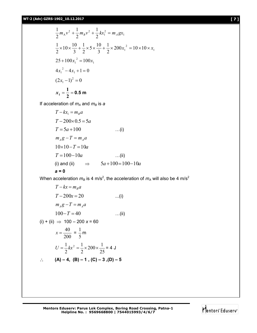$$
\frac{1}{2}m_A v^2 + \frac{1}{2}m_B v^2 + \frac{1}{2}kx_1^2 = m_A g x_1
$$
  
\n
$$
\frac{1}{2} \times 10 \times \frac{10}{3} + \frac{1}{2} \times 5 \times \frac{10}{3} + \frac{1}{2} \times 200x_1^2 = 10 \times 10 \times x_1
$$
  
\n
$$
25 + 100x_1^2 = 100x_1
$$
  
\n
$$
4x_1^2 - 4x_1 + 1 = 0
$$
  
\n
$$
(2x_1 - 1)^2 = 0
$$
  
\n
$$
x_1 = \frac{1}{2} = 0.5 \text{ m}
$$

If acceleration of  $m_A$  and  $m_B$  is a

$$
T - kx_1 = m_B a
$$
  
\n
$$
T - 200 \times 0.5 = 5a
$$
  
\n
$$
T = 5a + 100
$$
 ...(i)  
\n
$$
m_A g - T = m_A a
$$
  
\n
$$
10 \times 10 - T = 10a
$$
 ...(ii)  
\n
$$
T = 100 - 10a
$$
 ...(ii)  
\n(i) and (ii)  $\implies$   $5a + 100 = 100 - 10a$   
\n**a = 0**

When acceleration  $m_B$  is 4 m/s<sup>2</sup>, the acceleration of  $m_A$  will also be 4 m/s<sup>2</sup>

$$
T - kx = m_B a
$$
  
\n
$$
T - 200x = 20
$$
 ...(i)  
\n
$$
m_A g - T = m_A a
$$
  
\n
$$
100 - T = 40
$$
 ...(ii)  
\n(ii) + (ii)  $\implies$  100 - 200 x = 60  
\n
$$
x = \frac{40}{200} = \frac{1}{5} m
$$
  
\n
$$
U = \frac{1}{2} kx^2 = \frac{1}{2} \times 200 \times \frac{1}{25} = 4 J
$$
  
\n $\therefore$  (A) - 4, (B) - 1, (C) - 3, (D) - 5

**Mentors Eduserv: Parus Lok Complex, Boring Road Crossing, Patna-1 Helpline No. : 9569668800 | 7544015993/4/6/7**

$$
\mathbf{\dot{M}}_{\rm entors\,Eduserv\tilde{}}
$$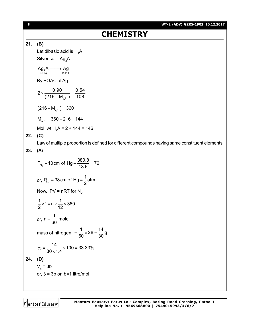# **CHEMISTRY**

### **21. (B)**

Let dibasic acid is  $H<sub>2</sub>A$ 

Silver salt : Ag<sub>2</sub>A

$$
\underset{0.90g}{\text{Ag}}\text{A} \longrightarrow \underset{0.54g}{\text{Ag}}
$$

By POAC of Ag

$$
2 \times \frac{0.90}{(216 + M_{A^{2-}})} = \frac{0.54}{108}
$$

 $(216 + M<sub>A<sup>2-</sup></sub>) = 360$ 

 $M_{A^{2-}} = 360 - 216 = 144$ 

Mol. wt  $H_2A = 2 + 144 = 146$ 

# **22. (C)**

Law of multiple proportion is defined for different compounds having same constituent elements.

## **23. (A)**

 $P_{N_2}$  + 10 cm of Hg +  $\frac{380.8}{13.6}$  = 76 13.6 +10 cm of Hg +  $\frac{300}{100}$  =  $\frac{1}{100}$ or,  $P_{\rm N_2}$  $P_{N_a}$  = 38 cm of Hg =  $\frac{1}{6}$ atm 2  $=$  38 cm of Hg  $=$  -Now,  $PV = nRT$  for  $N_2$  $\frac{1}{2}$  x 1 = n  $\times$   $\frac{1}{12}$  x 360 2 12  $\times$  1 = n  $\times$   $\frac{1}{10}$   $\times$  3 or,  $n = \frac{1}{20}$  mole 60  $=$ mass of nitrogen  $=$   $\frac{1}{60} \times 28 = \frac{14}{20}$ g 60 30  $=\frac{1}{22} \times 28 =$  $\% = \frac{14}{28.11} \times 100 = 33.33\%$  $30 \times 1.4$  $=\frac{1}{224 \times 100} \times 100 =$  $\times$ **24. (D)**  $V_c$  = 3b or,  $3 = 3b$  or  $b=1$  litre/mol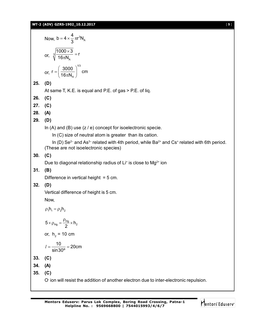### **WT-2 (ADV) GZRS-1902\_10.12.2017** [ **9** ]

Now,  $b = 4 \times \frac{1}{2} \pi r^3 N_A$ b =  $4 \times \frac{4}{5} \pi r^3 N$ 3  $=4\times\frac{1}{6}\pi r$ or,  $\sqrt[3]{\phantom{a}16\pi\mathrm{N}_{\mathrm{A}}}$  $\frac{1000\times3}{100}$  = r  $16\pi N$  $\frac{\times 3}{\cdot}$  =  $\pi$ or, 1/3 A  $r = \left(\frac{3000}{100}\right)^{10}$  cm  $16\pi N$  $=\left(\frac{3000}{16\pi N_{\rm A}}\right)^{1/2}$ **25. (D)** At same T, K.E. is equal and P.E. of gas > P.E. of liq. **26. (C) 27. (C) 28. (A) 29. (D)** In  $(A)$  and  $(B)$  use  $(z / e)$  concept for isoelectronic specie. In (C) size of neutral atom is greater than its cation. In (D) Se<sup>2–</sup> and As<sup>3–</sup> related with 4th period, while Ba<sup>2+</sup> and Cs<sup>+</sup> related with 6th period. (These are not isoelectronic species) **30. (C)** Due to diagonal relationship radius of Li<sup>+</sup> is close to Mg<sup>2+</sup> ion **31. (B)** Difference in vertical height  $= 5$  cm. **32. (D)** Vertical difference of height is 5 cm. Now,  $\rho_1 h_1 = \rho_2 h_2$  $5 \times \rho_{Hg} = \frac{\rho_{Hg}}{2} \times h_2$  $\times \rho_{\text{Hg}} = \frac{\text{Hg}}{\text{R}} \times \text{h}$ or,  $h_2$  = 10 cm  $\frac{10}{1000}$  = 20cm sin30º  $l = \frac{18}{1000} = 2$ **33. (C) 34. (A) 35. (C)** O- ion will resist the addition of another electron due to inter-electronic repulsion.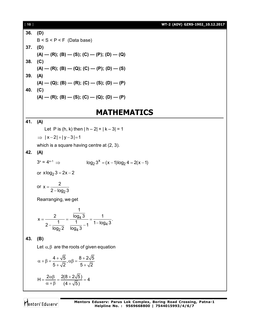| $[ 10 ]$ |                                                                                                                                 | WT-2 (ADV) GZRS-1902_10.12.2017 |  |  |
|----------|---------------------------------------------------------------------------------------------------------------------------------|---------------------------------|--|--|
| 36.      | (D)                                                                                                                             |                                 |  |  |
|          | $B < S < P < F$ (Data base)                                                                                                     |                                 |  |  |
| 37.      | (D)                                                                                                                             |                                 |  |  |
|          | $(A)$ — $(R)$ ; $(B)$ — $(S)$ ; $(C)$ — $(P)$ ; $(D)$ — $(Q)$                                                                   |                                 |  |  |
| 38.      | (C)                                                                                                                             |                                 |  |  |
|          | $(A)$ — $(R)$ ; $(B)$ — $(Q)$ ; $(C)$ — $(P)$ ; $(D)$ — $(S)$                                                                   |                                 |  |  |
| 39.      | (A)                                                                                                                             |                                 |  |  |
| 40.      | $(A)$ — (Q); (B) — (R); (C) — (S); (D) — (P)<br>(C)                                                                             |                                 |  |  |
|          | $(A)$ — $(R)$ ; $(B)$ — $(S)$ ; $(C)$ — $(Q)$ ; $(D)$ — $(P)$                                                                   |                                 |  |  |
|          |                                                                                                                                 |                                 |  |  |
|          | <b>MATHEMATICS</b>                                                                                                              |                                 |  |  |
| 41.      | (A)                                                                                                                             |                                 |  |  |
|          | Let P is (h, k) then $ h - 2  +  k - 3  = 1$                                                                                    |                                 |  |  |
|          | $\Rightarrow$ $ x-2 + y-3 =1$                                                                                                   |                                 |  |  |
|          | which is a square having centre at (2, 3).                                                                                      |                                 |  |  |
| 42.      | (A)                                                                                                                             |                                 |  |  |
|          | $3^x = 4^{x-1} \Rightarrow$<br>$\log_2 3^x = (x - 1) \log_2 4 = 2(x - 1)$                                                       |                                 |  |  |
|          | or $x \log_2 3 = 2x - 2$                                                                                                        |                                 |  |  |
|          | or $x = \frac{2}{2 - \log_2 3}$                                                                                                 |                                 |  |  |
|          | Rearranging, we get                                                                                                             |                                 |  |  |
|          | 1.<br>$x = {2 \over 2 - {1 \over \log_2 2}} = {\overline{\log_4 3} \over 1 - {1 \over 1 - \log_4 3}} = {1 \over 1 - \log_4 3}.$ |                                 |  |  |
| 43.      | (B)                                                                                                                             |                                 |  |  |
|          | Let $\alpha, \beta$ are the roots of given equation                                                                             |                                 |  |  |
|          | $\alpha + \beta = \frac{4 + \sqrt{5}}{5 + \sqrt{2}}, \alpha \beta = \frac{8 + 2\sqrt{5}}{5 + \sqrt{2}}$                         |                                 |  |  |
|          | H = $\frac{2\alpha\beta}{\alpha+\beta}$ = $\frac{2(8+2\sqrt{5})}{(4+\sqrt{5})}$ = 4                                             |                                 |  |  |
|          |                                                                                                                                 |                                 |  |  |

Mentors<sup>e</sup> Eduserv<sup>-</sup>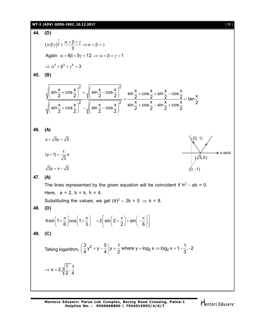WT-2 (ADV) G2R5-1902\_10.12.7017  
\n44. (D)  
\n
$$
(\alpha \beta \gamma)^{\frac{1}{3}} \ge \frac{\alpha + \beta + \gamma}{3} \Rightarrow \alpha = \beta = \gamma
$$
\nAgain  $\alpha + \beta\beta + 5\gamma = 12 \Rightarrow \alpha = \beta = \gamma = 1$   
\n
$$
\Rightarrow \alpha^6 + \beta^3 + \gamma^9 = 3
$$
\n45. (B)  
\n
$$
\sqrt{\left(\sin \frac{x}{2} + \cos \frac{x}{2}\right)^2 + \sqrt{\left(\sin \frac{x}{2} - \cos \frac{x}{2}\right)^2}} = \frac{\sin \frac{x}{2} + \cos \frac{x}{2} + \sin \frac{x}{2} - \cos \frac{x}{2}}{\sin \frac{x}{2} + \cos \frac{x}{2} - \sin \frac{x}{2} + \cos \frac{x}{2}} = \tan \frac{x}{2}
$$
\n46. (A)  
\n
$$
x + \sqrt{3}y = \sqrt{3}
$$
\n
$$
(y + 1) = \frac{1}{\sqrt{3}}x
$$
\n
$$
\sqrt{3}y = x - \sqrt{3}
$$
\n
$$
(y + 1) = \frac{1}{\sqrt{3}}x
$$
\n
$$
\sqrt{3}y = x - \sqrt{3}
$$
\n47. (A)  
\nThe lines represented by the given equation will be coincident if h<sup>2</sup> – ab = 0.  
\nHence, a = 2, b = k, h = 4.  
\nSubstituting the values, we get (4)<sup>2</sup> – 2k = 0 ⇒ k = 8.  
\n48. (D)  
\n44sin(1 +  $\frac{\pi}{6}$ )cos(1 +  $\frac{\pi}{3}$ ) = 2[sin(2 +  $\frac{\pi}{2}$ ) + sin(- $\frac{\pi}{6}$ )]  
\n49. (C)  
\nTaking logarithm,  $\left(\frac{3}{4}y^2 + y - \frac{5}{4}\right)y = \frac{1}{2}$  where y = log<sub>2</sub> x ⇒ log<sub>2</sub> x = 1 -  $\frac{1}{3}$ , -2  
\n
$$
\Rightarrow x = 2, \sqrt[3]{\frac{1}{2}} \cdot \frac{1}{4}
$$

Mentors<sup>e</sup> Eduserv<sup>-</sup>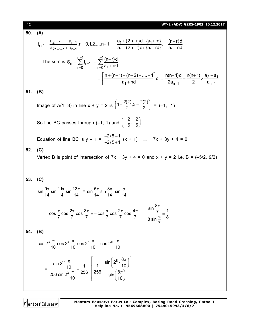| i 12 i |  | WT-2 (ADV) GZRS-1902 10.12.2017 |
|--------|--|---------------------------------|
|--------|--|---------------------------------|

**50.** (A)  
\n
$$
t_{r+1} = \frac{a_{2n+1-r} - a_{r+1}}{a_{2n+1-r} + a_{r+1}}, r = 0, 1, 2, \dots, n-1. = \frac{a_1 + (2n-r)d - \{a_1 + rd\}}{a_1 + (2n-r)d + \{a_1 + rd\}} = \frac{(n-r)d}{a_1 + nd}
$$
\n
$$
\therefore \text{ The sum is } S_n = \sum_{r=0}^{n-1} t_{r+1} = \sum_{r=0}^{n-1} \frac{(n-r)d}{a_1 + nd} = \left[\frac{n+(n-1)+(n-2)+\dots+1}{a_1 + nd}\right]d = \frac{n(n+1)d}{2a_{n+1}} = \frac{n(n+1)d}{2} \times \frac{a_2 - a_1}{a_{n+1}}
$$
\n**51.** (B)  
\nImage of A(1, 3) in line x + y = 2 is  $\left(1 - \frac{2(2)}{2}, 3 - \frac{2(2)}{2}\right) = (-1, 1)$   
\nSo line BC passes through (-1, 1) and  $\left(-\frac{2}{5}, -\frac{2}{5}\right)$ .  
\nEquation of line BC is y - 1 =  $\frac{-2/5 - 1}{-2/5 + 1}$  (x + 1)  $\Rightarrow$  7x + 3y + 4 = 0  
\n**52.** (C)  
\nVertex B is point of intersection of 7x + 3y + 4 = 0 and x + y = 2 i.e. B = (-5/2, 9/2)  
\n**53.** (C)  
\n
$$
\sin \frac{9\pi}{14} \sin \frac{11\pi}{14} \sin \frac{13\pi}{14} = \sin \frac{5\pi}{14} \sin \frac{3\pi}{14} \cdot \sin \frac{\pi}{14}
$$
\n
$$
= \cos \frac{\pi}{7} \cos \frac{2\pi}{7} \cos \frac{3\pi}{7} = -\cos \frac{\pi}{7} \cos \frac{2\pi}{7} \cos \frac{4\pi}{7} = -\frac{\sin \frac{8\pi}{7}}{8 \sin \frac{7\pi}{7}} = \frac{1}{8 \sin \frac{7\pi}{7}}
$$
\n**54.** (B)  
\n
$$
\cos 2^3 \frac{\pi}{10} \cos 2
$$

Mentors<sup>\*</sup> Eduserv<sup>-</sup>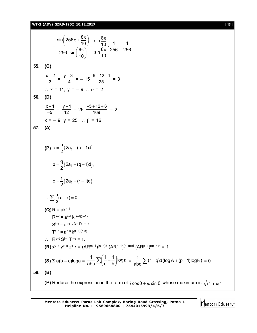### **WT-2 (ADV) GZRS-1902\_10.12.2017** [ **13** ]

 $\sin \left( 256 \pi + \frac{8 \pi}{10} \right) = \frac{\sin \frac{8 \pi}{10}}{\sin \frac{8 \pi}{10}} \cdot \frac{1}{1} = \frac{1}{1}$ 256 sin $\left(\frac{8\pi}{10}\right)$  sin $\frac{8\pi}{10}$  256 256 10  $^{10}$  10  $\left(256\pi+\frac{8\pi}{10}\right)_{-} \frac{\sin \frac{8\pi}{10}}{10}$  $=\frac{10}{256 \sin(8\pi)} = \frac{10}{\sin(8\pi)} \cdot \frac{1}{256} =$  $\sin\left(\frac{8\pi}{10}\right)$   $\sin\frac{8\pi}{10}$  256 256. **55. (C)**  $x - 2$  $\frac{-2}{3} = \frac{y-3}{-4} = -15 \frac{6-12+1}{25} = 3$  $\therefore$  x = 11, y = - 9  $\therefore$   $\alpha$  = 2 **56. (D)**  $\frac{x-1}{-5} = \frac{y-1}{12} = 26 \frac{-5+12+6}{169} = 2$  $x = -9$ ,  $y = 25$  :  $\beta = 16$ **57. (A) (P)**  $a = \frac{P}{2} \{ 2a_1 + (p-1)d \},$  $a = \frac{p}{2} \{ 2a_1 + (p-1)d \},$ 2  $=\frac{P}{2}$ {2a<sub>1</sub> + (p – 1  ${2a_1 + (q-1)d}$ b =  $\frac{q}{6}$ {2a<sub>1</sub> + (q - 1)d}, 2  $=\frac{9}{2}$ {2a<sub>1</sub> + (q – 1  ${2a_1 + (r-1)d}$  $c = \frac{r}{2} \{ 2a_1 + (r - 1)d \}$ 2  $=\frac{1}{2}$ {2a<sub>1</sub> + (r – 1  $\frac{a}{a}(q-r) = 0$  $\therefore \sum_{p} \frac{a}{p} (q - r) = 0$  $(Q)$  $R = akr-1$  $R^{s-t} = a^{s-t} k^{(s-t)(r-1)}$  $S^{t-r} = a^{t-r} k^{(s-1)(t-r)}$  $T^{r-s} = a^{r-s} k^{(t-1)(r-s)}$  $\cdot$  R<sup>s–t</sup> S<sup>t–r</sup> T<sup>r–s</sup> = 1. **(R)**  $x^{y-z} \cdot y^{z-x} \cdot z^{x-y} = (AR^{m-1})^{(n-p)d} (AR^{n-1})^{(p-m)d} (AR^{p-1})^{(m-n)d} = 1$ **(S)**  $\Sigma$  a(b – c)loga =  $\frac{1}{2} \sum_{n=1}^{\infty} \left( \frac{1}{n} - \frac{1}{n} \right)$ loga abc $\leftarrow$ (c b  $\sum \left( \frac{1}{c} - \frac{1}{b} \right)$ loga =  $\frac{1}{abc} \sum (r - q)d(logA + (p - 1)logR) = 0$ **58. (B)** (P) Reduce the expression in the form of  $l\cos\theta + m\sin\theta$  whose maximum is  $\sqrt{l^2 + m^2}$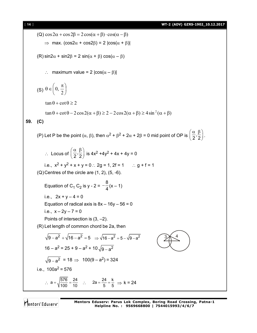(a) 
$$
\cos 2\alpha + \cos 2\beta = 2\cos(\alpha + \beta) \cdot \cos(\alpha - \beta)
$$
  
\n⇒ max.  $(\cos 2\alpha + \cos 2\beta) = 2 |\cos(\alpha + \beta)|$   
\n(R)  $\sin 2\alpha + \sin 2\beta = 2 \sin(\alpha + \beta) \cos(\alpha - \beta)$   
\n∴ maximum value = 2  $|\cos(\alpha - \beta)|$   
\n(S)  $\theta \in \left(0, \frac{\pi}{2}\right)$   
\n $\tan \theta + \cot \theta \ge 2$   
\n $\tan \theta + \cot \theta - 2 \cos 2(\alpha + \beta) \ge 2 - 2 \cos 2(\alpha + \beta) \ge 4 \sin^2(\alpha + \beta)$   
\n59. (C)  
\n(P) Let P be the point  $(\alpha, \beta)$ , then  $\alpha^2 + \beta^2 + 2\alpha + 2\beta = 0$  mid point of OP is  $\left(\frac{\alpha}{2}, \frac{\beta}{2}\right)$ .  
\n∴ Locus of  $\left(\frac{\alpha}{2}, \frac{\beta}{2}\right)$  is  $4x^2 + 4y^2 + 4x + 4y = 0$   
\ni.e.,  $x^2 + y^2 + x + y = 0$ .  $2g = 1$ ,  $2f = 1$  ∴  $g + f = 1$   
\n(Q) Centres of the circle are (1, 2), (5, -6).  
\nEquation of C<sub>1</sub> C<sub>2</sub> is  $y - 2 = -\frac{8}{4}(x - 1)$   
\ni.e.,  $2x + y - 4 = 0$   
\nEquation of radical axis is  $8x - 16y - 56 = 0$   
\ni.e.,  $x - 2y - 7 = 0$   
\nPoints of intersection is (3, -2).  
\n(R) Let length of common chord be 2a, then  
\n $\sqrt{9 - a^2} + \sqrt{16 - a^2} = 5 \Rightarrow \sqrt{16 - a^2} = 5 - \sqrt{9 - a^2}$   
\n $\sqrt{9 - a^2} = 18 \Rightarrow 100(9 - a^2) = 324$   
\ni.e.,  $100a^2 = 576$   
\n∴  $a = \sqrt{\frac{576}{100}} = \frac{2$ 

Mentors<sup>®</sup> Eduserv<sup>®</sup>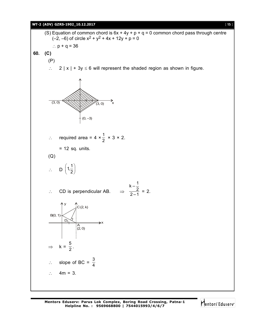### **WT-2 (ADV) GZRS-1902\_10.12.2017** [ **15** ]

(S) Equation of common chord is  $6x + 4y + p + q = 0$  common chord pass through centre  $(-2, -6)$  of circle  $x^2 + y^2 + 4x + 12y + p = 0$ :  $p + q = 36$ **60. (C)** (P)  $\therefore$  2 | x | + 3y  $\leq$  6 will represent the shaded region as shown in figure.  $\overrightarrow{A}$  (3, 0)  $\overrightarrow{X}$  $(0, -3)$  $(3, 0)$  $\therefore$  required area = 4  $\times \frac{1}{2}$   $\times$  3  $\times$  2.  $= 12$  sq. units. (Q)  $\therefore$  D  $\left(1,\frac{1}{2}\right)$ 2  $\therefore$  CD is perpendicular AB.  $\Rightarrow$  $\frac{k-\frac{1}{2}}{2-1}$  = 2. y  $C(2, k)$ B(0, 1)  $D_1$ A (2, 0) x  $\Rightarrow$  k =  $\frac{5}{2}$  $\frac{2}{2}$ .  $\therefore$  slope of BC =  $\frac{3}{4}$ 4  $\therefore$  4m = 3.